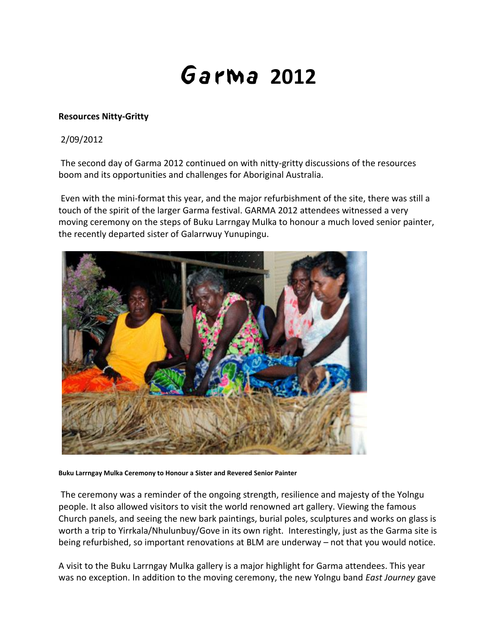## **2012**

## **Resources Nitty-Gritty**

## 2/09/2012

The second day of Garma 2012 continued on with nitty-gritty discussions of the resources boom and its opportunities and challenges for Aboriginal Australia.

Even with the mini-format this year, and the major refurbishment of the site, there was still a touch of the spirit of the larger Garma festival. GARMA 2012 attendees witnessed a very moving ceremony on the steps of Buku Larrngay Mulka to honour a much loved senior painter, the recently departed sister of Galarrwuy Yunupingu.



**Buku Larrngay Mulka Ceremony to Honour a Sister and Revered Senior Painter**

The ceremony was a reminder of the ongoing strength, resilience and majesty of the Yolngu people. It also allowed visitors to visit the world renowned art gallery. Viewing the famous Church panels, and seeing the new bark paintings, burial poles, sculptures and works on glass is worth a trip to Yirrkala/Nhulunbuy/Gove in its own right. Interestingly, just as the Garma site is being refurbished, so important renovations at BLM are underway – not that you would notice.

A visit to the Buku Larrngay Mulka gallery is a major highlight for Garma attendees. This year was no exception. In addition to the moving ceremony, the new Yolngu band *East Journey* gave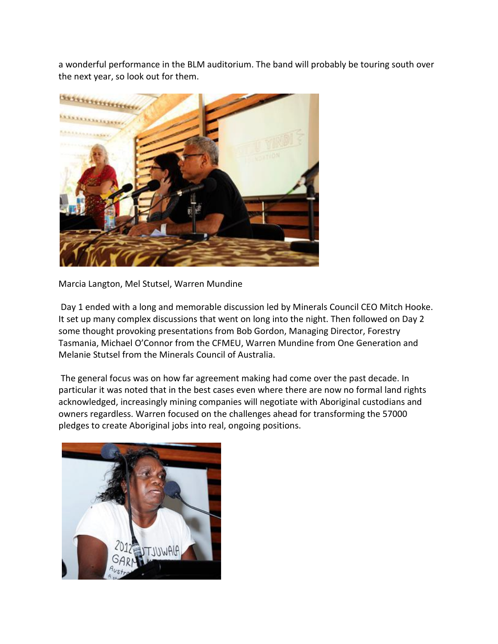a wonderful performance in the BLM auditorium. The band will probably be touring south over the next year, so look out for them.



Marcia Langton, Mel Stutsel, Warren Mundine

Day 1 ended with a long and memorable discussion led by Minerals Council CEO Mitch Hooke. It set up many complex discussions that went on long into the night. Then followed on Day 2 some thought provoking presentations from Bob Gordon, Managing Director, Forestry Tasmania, Michael O'Connor from the CFMEU, Warren Mundine from One Generation and Melanie Stutsel from the Minerals Council of Australia.

The general focus was on how far agreement making had come over the past decade. In particular it was noted that in the best cases even where there are now no formal land rights acknowledged, increasingly mining companies will negotiate with Aboriginal custodians and owners regardless. Warren focused on the challenges ahead for transforming the 57000 pledges to create Aboriginal jobs into real, ongoing positions.

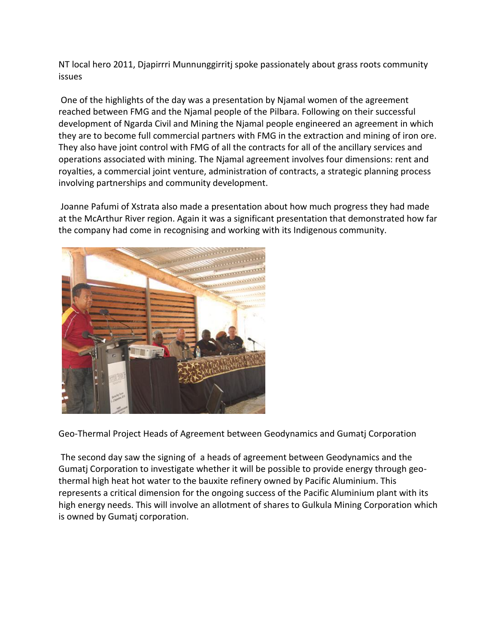NT local hero 2011, Djapirrri Munnunggirritj spoke passionately about grass roots community issues

One of the highlights of the day was a presentation by Njamal women of the agreement reached between FMG and the Njamal people of the Pilbara. Following on their successful development of Ngarda Civil and Mining the Njamal people engineered an agreement in which they are to become full commercial partners with FMG in the extraction and mining of iron ore. They also have joint control with FMG of all the contracts for all of the ancillary services and operations associated with mining. The Njamal agreement involves four dimensions: rent and royalties, a commercial joint venture, administration of contracts, a strategic planning process involving partnerships and community development.

Joanne Pafumi of Xstrata also made a presentation about how much progress they had made at the McArthur River region. Again it was a significant presentation that demonstrated how far the company had come in recognising and working with its Indigenous community.



Geo-Thermal Project Heads of Agreement between Geodynamics and Gumatj Corporation

The second day saw the signing of a heads of agreement between Geodynamics and the Gumatj Corporation to investigate whether it will be possible to provide energy through geothermal high heat hot water to the bauxite refinery owned by Pacific Aluminium. This represents a critical dimension for the ongoing success of the Pacific Aluminium plant with its high energy needs. This will involve an allotment of shares to Gulkula Mining Corporation which is owned by Gumatj corporation.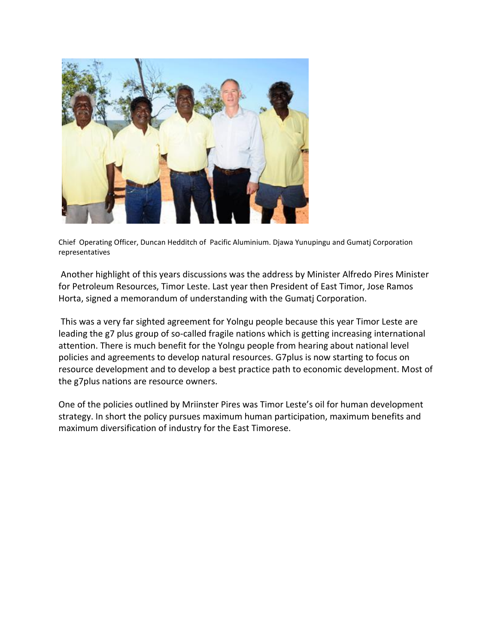

Chief Operating Officer, Duncan Hedditch of Pacific Aluminium. Djawa Yunupingu and Gumatj Corporation representatives

Another highlight of this years discussions was the address by Minister Alfredo Pires Minister for Petroleum Resources, Timor Leste. Last year then President of East Timor, Jose Ramos Horta, signed a memorandum of understanding with the Gumatj Corporation.

This was a very far sighted agreement for Yolngu people because this year Timor Leste are leading the g7 plus group of so-called fragile nations which is getting increasing international attention. There is much benefit for the Yolngu people from hearing about national level policies and agreements to develop natural resources. G7plus is now starting to focus on resource development and to develop a best practice path to economic development. Most of the g7plus nations are resource owners.

One of the policies outlined by Mriinster Pires was Timor Leste's oil for human development strategy. In short the policy pursues maximum human participation, maximum benefits and maximum diversification of industry for the East Timorese.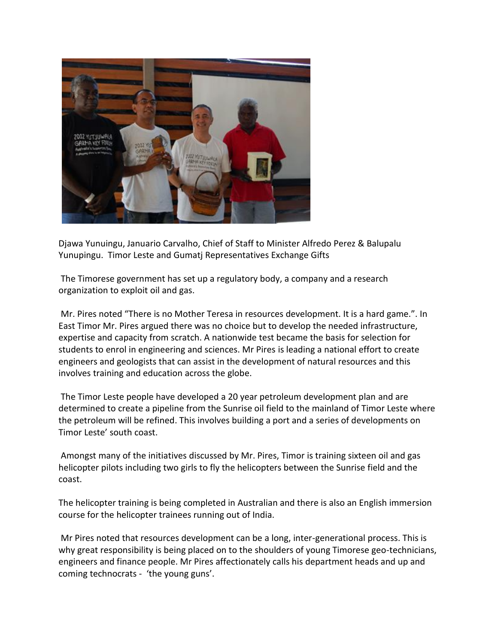

Djawa Yunuingu, Januario Carvalho, Chief of Staff to Minister Alfredo Perez & Balupalu Yunupingu. Timor Leste and Gumatj Representatives Exchange Gifts

The Timorese government has set up a regulatory body, a company and a research organization to exploit oil and gas.

Mr. Pires noted "There is no Mother Teresa in resources development. It is a hard game.". In East Timor Mr. Pires argued there was no choice but to develop the needed infrastructure, expertise and capacity from scratch. A nationwide test became the basis for selection for students to enrol in engineering and sciences. Mr Pires is leading a national effort to create engineers and geologists that can assist in the development of natural resources and this involves training and education across the globe.

The Timor Leste people have developed a 20 year petroleum development plan and are determined to create a pipeline from the Sunrise oil field to the mainland of Timor Leste where the petroleum will be refined. This involves building a port and a series of developments on Timor Leste' south coast.

Amongst many of the initiatives discussed by Mr. Pires, Timor is training sixteen oil and gas helicopter pilots including two girls to fly the helicopters between the Sunrise field and the coast.

The helicopter training is being completed in Australian and there is also an English immersion course for the helicopter trainees running out of India.

Mr Pires noted that resources development can be a long, inter-generational process. This is why great responsibility is being placed on to the shoulders of young Timorese geo-technicians, engineers and finance people. Mr Pires affectionately calls his department heads and up and coming technocrats - 'the young guns'.